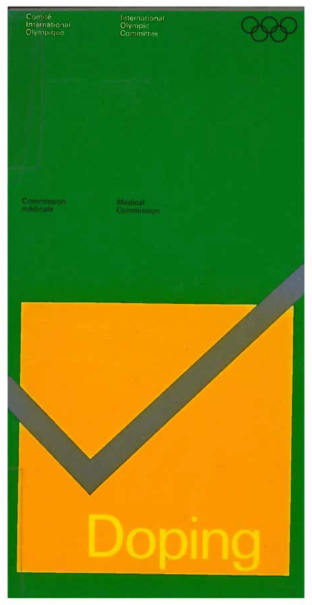## Comité<br>International<br>Olympique

International<br>Olympic<br>Committee

Commission<br>médicale

Medical<br>Commission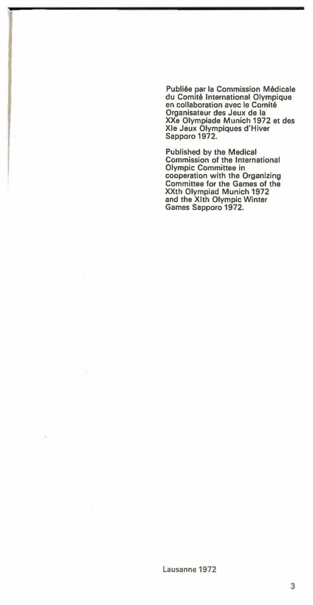Publiée par la Commission Médicale du Comité International Olympique en collaboration avec le Comité Organisateur des Jeux de la XXe Olympiads Munich 1972 et des Xie Jeux Olympiques d'Hiver Sapporo 1972.

Published by the Medical Commission of the International Olympic Committee in cooperation with the Organizing Committee for the Games of the XXth Olympiad Munich 1972 and the Xlth Olympic Winter Games Sapporo 1972.